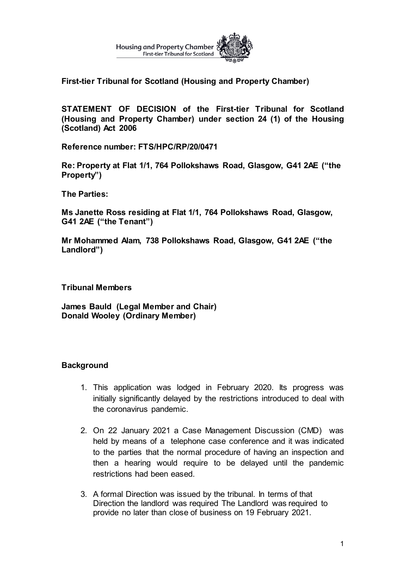

**First-tier Tribunal for Scotland (Housing and Property Chamber)** 

**STATEMENT OF DECISION of the First-tier Tribunal for Scotland (Housing and Property Chamber) under section 24 (1) of the Housing (Scotland) Act 2006**

**Reference number: FTS/HPC/RP/20/0471**

**Re: Property at Flat 1/1, 764 Pollokshaws Road, Glasgow, G41 2AE ("the Property")**

**The Parties:**

**Ms Janette Ross residing at Flat 1/1, 764 Pollokshaws Road, Glasgow, G41 2AE ("the Tenant")**

**Mr Mohammed Alam, 738 Pollokshaws Road, Glasgow, G41 2AE ("the Landlord")** 

**Tribunal Members** 

**James Bauld (Legal Member and Chair) Donald Wooley (Ordinary Member)**

## **Background**

- 1. This application was lodged in February 2020. Its progress was initially significantly delayed by the restrictions introduced to deal with the coronavirus pandemic.
- 2. On 22 January 2021 a Case Management Discussion (CMD) was held by means of a telephone case conference and it was indicated to the parties that the normal procedure of having an inspection and then a hearing would require to be delayed until the pandemic restrictions had been eased.
- 3. A formal Direction was issued by the tribunal. In terms of that Direction the landlord was required The Landlord was required to provide no later than close of business on 19 February 2021.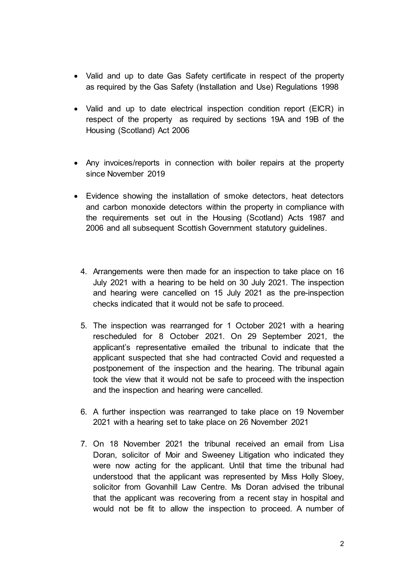- Valid and up to date Gas Safety certificate in respect of the property as required by the Gas Safety (Installation and Use) Regulations 1998
- Valid and up to date electrical inspection condition report (EICR) in respect of the property as required by sections 19A and 19B of the Housing (Scotland) Act 2006
- Any invoices/reports in connection with boiler repairs at the property since November 2019
- Evidence showing the installation of smoke detectors, heat detectors and carbon monoxide detectors within the property in compliance with the requirements set out in the Housing (Scotland) Acts 1987 and 2006 and all subsequent Scottish Government statutory guidelines.
	- 4. Arrangements were then made for an inspection to take place on 16 July 2021 with a hearing to be held on 30 July 2021. The inspection and hearing were cancelled on 15 July 2021 as the pre-inspection checks indicated that it would not be safe to proceed.
	- 5. The inspection was rearranged for 1 October 2021 with a hearing rescheduled for 8 October 2021. On 29 September 2021, the applicant's representative emailed the tribunal to indicate that the applicant suspected that she had contracted Covid and requested a postponement of the inspection and the hearing. The tribunal again took the view that it would not be safe to proceed with the inspection and the inspection and hearing were cancelled.
	- 6. A further inspection was rearranged to take place on 19 November 2021 with a hearing set to take place on 26 November 2021
	- 7. On 18 November 2021 the tribunal received an email from Lisa Doran, solicitor of Moir and Sweeney Litigation who indicated they were now acting for the applicant. Until that time the tribunal had understood that the applicant was represented by Miss Holly Sloey, solicitor from Govanhill Law Centre. Ms Doran advised the tribunal that the applicant was recovering from a recent stay in hospital and would not be fit to allow the inspection to proceed. A number of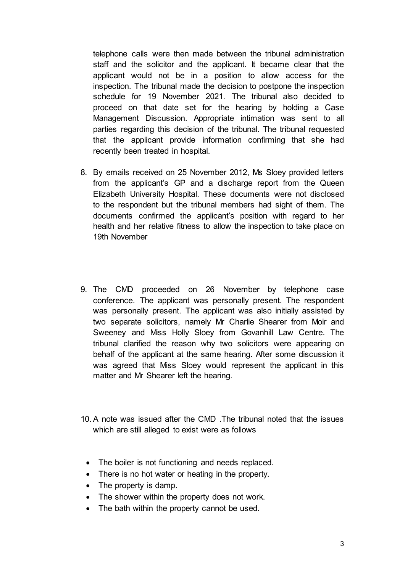telephone calls were then made between the tribunal administration staff and the solicitor and the applicant. It became clear that the applicant would not be in a position to allow access for the inspection. The tribunal made the decision to postpone the inspection schedule for 19 November 2021. The tribunal also decided to proceed on that date set for the hearing by holding a Case Management Discussion. Appropriate intimation was sent to all parties regarding this decision of the tribunal. The tribunal requested that the applicant provide information confirming that she had recently been treated in hospital.

- 8. By emails received on 25 November 2012, Ms Sloey provided letters from the applicant's GP and a discharge report from the Queen Elizabeth University Hospital. These documents were not disclosed to the respondent but the tribunal members had sight of them. The documents confirmed the applicant's position with regard to her health and her relative fitness to allow the inspection to take place on 19th November
- 9. The CMD proceeded on 26 November by telephone case conference. The applicant was personally present. The respondent was personally present. The applicant was also initially assisted by two separate solicitors, namely Mr Charlie Shearer from Moir and Sweeney and Miss Holly Sloey from Govanhill Law Centre. The tribunal clarified the reason why two solicitors were appearing on behalf of the applicant at the same hearing. After some discussion it was agreed that Miss Sloey would represent the applicant in this matter and Mr Shearer left the hearing.
- 10. A note was issued after the CMD .The tribunal noted that the issues which are still alleged to exist were as follows
	- The boiler is not functioning and needs replaced.
	- There is no hot water or heating in the property.
	- The property is damp.
	- The shower within the property does not work.
	- The bath within the property cannot be used.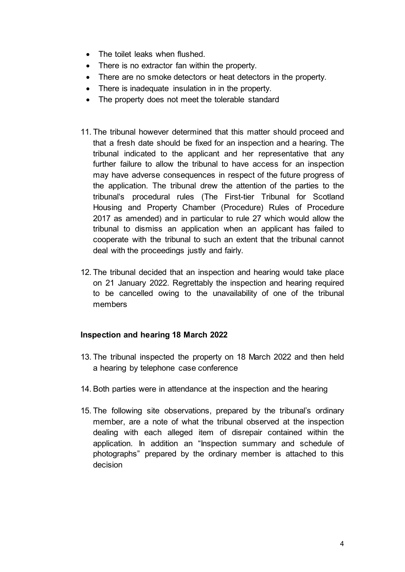- The toilet leaks when flushed.
- There is no extractor fan within the property.
- There are no smoke detectors or heat detectors in the property.
- There is inadequate insulation in in the property.
- The property does not meet the tolerable standard
- 11. The tribunal however determined that this matter should proceed and that a fresh date should be fixed for an inspection and a hearing. The tribunal indicated to the applicant and her representative that any further failure to allow the tribunal to have access for an inspection may have adverse consequences in respect of the future progress of the application. The tribunal drew the attention of the parties to the tribunal's procedural rules (The First-tier Tribunal for Scotland Housing and Property Chamber (Procedure) Rules of Procedure 2017 as amended) and in particular to rule 27 which would allow the tribunal to dismiss an application when an applicant has failed to cooperate with the tribunal to such an extent that the tribunal cannot deal with the proceedings justly and fairly.
- 12. The tribunal decided that an inspection and hearing would take place on 21 January 2022. Regrettably the inspection and hearing required to be cancelled owing to the unavailability of one of the tribunal members

## **Inspection and hearing 18 March 2022**

- 13. The tribunal inspected the property on 18 March 2022 and then held a hearing by telephone case conference
- 14. Both parties were in attendance at the inspection and the hearing
- 15. The following site observations, prepared by the tribunal's ordinary member, are a note of what the tribunal observed at the inspection dealing with each alleged item of disrepair contained within the application. In addition an "Inspection summary and schedule of photographs" prepared by the ordinary member is attached to this decision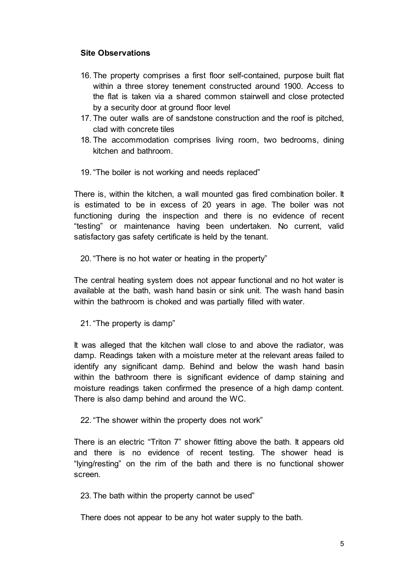# **Site Observations**

- 16. The property comprises a first floor self-contained, purpose built flat within a three storey tenement constructed around 1900. Access to the flat is taken via a shared common stairwell and close protected by a security door at ground floor level
- 17. The outer walls are of sandstone construction and the roof is pitched, clad with concrete tiles
- 18. The accommodation comprises living room, two bedrooms, dining kitchen and bathroom.
- 19. "The boiler is not working and needs replaced"

There is, within the kitchen, a wall mounted gas fired combination boiler. It is estimated to be in excess of 20 years in age. The boiler was not functioning during the inspection and there is no evidence of recent "testing" or maintenance having been undertaken. No current, valid satisfactory gas safety certificate is held by the tenant.

20. "There is no hot water or heating in the property"

The central heating system does not appear functional and no hot water is available at the bath, wash hand basin or sink unit. The wash hand basin within the bathroom is choked and was partially filled with water.

21. "The property is damp"

It was alleged that the kitchen wall close to and above the radiator, was damp. Readings taken with a moisture meter at the relevant areas failed to identify any significant damp. Behind and below the wash hand basin within the bathroom there is significant evidence of damp staining and moisture readings taken confirmed the presence of a high damp content. There is also damp behind and around the WC.

22. "The shower within the property does not work"

There is an electric "Triton 7" shower fitting above the bath. It appears old and there is no evidence of recent testing. The shower head is "lying/resting" on the rim of the bath and there is no functional shower screen.

23. The bath within the property cannot be used"

There does not appear to be any hot water supply to the bath.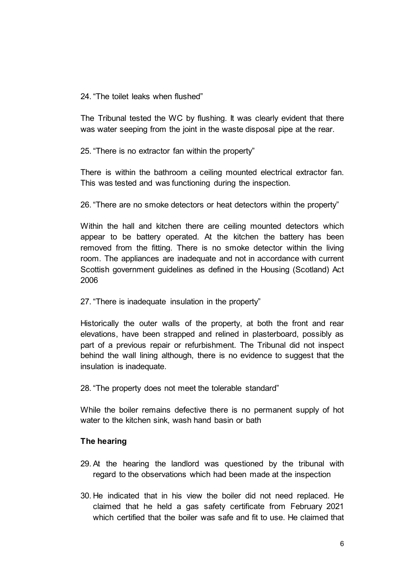## 24 "The toilet leaks when flushed"

The Tribunal tested the WC by flushing. It was clearly evident that there was water seeping from the joint in the waste disposal pipe at the rear.

25. "There is no extractor fan within the property"

There is within the bathroom a ceiling mounted electrical extractor fan. This was tested and was functioning during the inspection.

26. "There are no smoke detectors or heat detectors within the property"

Within the hall and kitchen there are ceiling mounted detectors which appear to be battery operated. At the kitchen the battery has been removed from the fitting. There is no smoke detector within the living room. The appliances are inadequate and not in accordance with current Scottish government guidelines as defined in the Housing (Scotland) Act 2006

## 27. "There is inadequate insulation in the property"

Historically the outer walls of the property, at both the front and rear elevations, have been strapped and relined in plasterboard, possibly as part of a previous repair or refurbishment. The Tribunal did not inspect behind the wall lining although, there is no evidence to suggest that the insulation is inadequate.

28. "The property does not meet the tolerable standard"

While the boiler remains defective there is no permanent supply of hot water to the kitchen sink, wash hand basin or bath

## **The hearing**

- 29. At the hearing the landlord was questioned by the tribunal with regard to the observations which had been made at the inspection
- 30. He indicated that in his view the boiler did not need replaced. He claimed that he held a gas safety certificate from February 2021 which certified that the boiler was safe and fit to use. He claimed that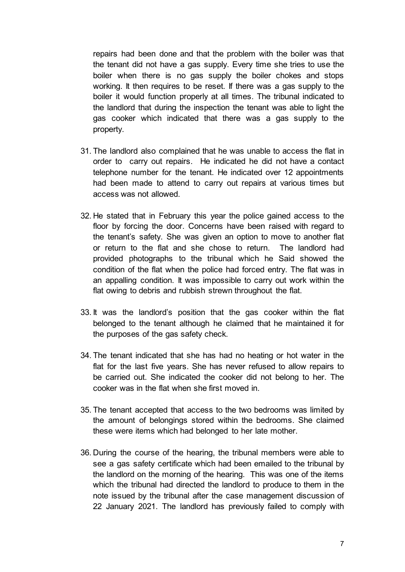repairs had been done and that the problem with the boiler was that the tenant did not have a gas supply. Every time she tries to use the boiler when there is no gas supply the boiler chokes and stops working. It then requires to be reset. If there was a gas supply to the boiler it would function properly at all times. The tribunal indicated to the landlord that during the inspection the tenant was able to light the gas cooker which indicated that there was a gas supply to the property.

- 31. The landlord also complained that he was unable to access the flat in order to carry out repairs. He indicated he did not have a contact telephone number for the tenant. He indicated over 12 appointments had been made to attend to carry out repairs at various times but access was not allowed.
- 32. He stated that in February this year the police gained access to the floor by forcing the door. Concerns have been raised with regard to the tenant's safety. She was given an option to move to another flat or return to the flat and she chose to return. The landlord had provided photographs to the tribunal which he Said showed the condition of the flat when the police had forced entry. The flat was in an appalling condition. It was impossible to carry out work within the flat owing to debris and rubbish strewn throughout the flat.
- 33. It was the landlord's position that the gas cooker within the flat belonged to the tenant although he claimed that he maintained it for the purposes of the gas safety check.
- 34. The tenant indicated that she has had no heating or hot water in the flat for the last five years. She has never refused to allow repairs to be carried out. She indicated the cooker did not belong to her. The cooker was in the flat when she first moved in.
- 35. The tenant accepted that access to the two bedrooms was limited by the amount of belongings stored within the bedrooms. She claimed these were items which had belonged to her late mother.
- 36. During the course of the hearing, the tribunal members were able to see a gas safety certificate which had been emailed to the tribunal by the landlord on the morning of the hearing. This was one of the items which the tribunal had directed the landlord to produce to them in the note issued by the tribunal after the case management discussion of 22 January 2021. The landlord has previously failed to comply with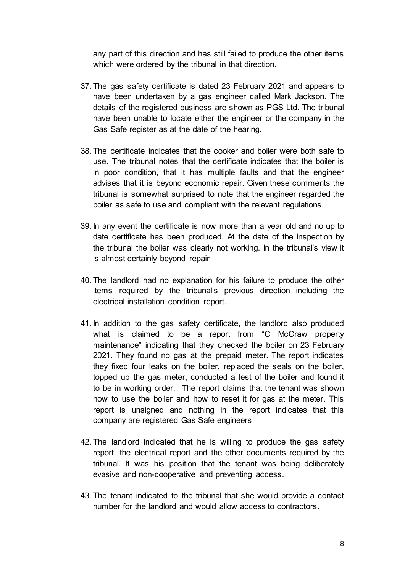any part of this direction and has still failed to produce the other items which were ordered by the tribunal in that direction.

- 37. The gas safety certificate is dated 23 February 2021 and appears to have been undertaken by a gas engineer called Mark Jackson. The details of the registered business are shown as PGS Ltd. The tribunal have been unable to locate either the engineer or the company in the Gas Safe register as at the date of the hearing.
- 38. The certificate indicates that the cooker and boiler were both safe to use. The tribunal notes that the certificate indicates that the boiler is in poor condition, that it has multiple faults and that the engineer advises that it is beyond economic repair. Given these comments the tribunal is somewhat surprised to note that the engineer regarded the boiler as safe to use and compliant with the relevant regulations.
- 39. In any event the certificate is now more than a year old and no up to date certificate has been produced. At the date of the inspection by the tribunal the boiler was clearly not working. In the tribunal's view it is almost certainly beyond repair
- 40. The landlord had no explanation for his failure to produce the other items required by the tribunal's previous direction including the electrical installation condition report.
- 41. In addition to the gas safety certificate, the landlord also produced what is claimed to be a report from "C McCraw property maintenance" indicating that they checked the boiler on 23 February 2021. They found no gas at the prepaid meter. The report indicates they fixed four leaks on the boiler, replaced the seals on the boiler, topped up the gas meter, conducted a test of the boiler and found it to be in working order. The report claims that the tenant was shown how to use the boiler and how to reset it for gas at the meter. This report is unsigned and nothing in the report indicates that this company are registered Gas Safe engineers
- 42. The landlord indicated that he is willing to produce the gas safety report, the electrical report and the other documents required by the tribunal. It was his position that the tenant was being deliberately evasive and non-cooperative and preventing access.
- 43. The tenant indicated to the tribunal that she would provide a contact number for the landlord and would allow access to contractors.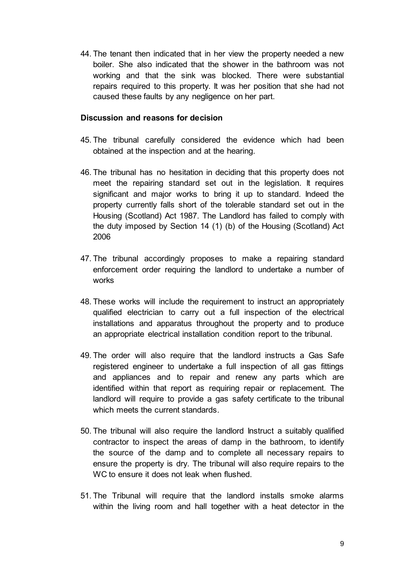44. The tenant then indicated that in her view the property needed a new boiler. She also indicated that the shower in the bathroom was not working and that the sink was blocked. There were substantial repairs required to this property. It was her position that she had not caused these faults by any negligence on her part.

## **Discussion and reasons for decision**

- 45. The tribunal carefully considered the evidence which had been obtained at the inspection and at the hearing.
- 46. The tribunal has no hesitation in deciding that this property does not meet the repairing standard set out in the legislation. It requires significant and major works to bring it up to standard. Indeed the property currently falls short of the tolerable standard set out in the Housing (Scotland) Act 1987. The Landlord has failed to comply with the duty imposed by Section 14 (1) (b) of the Housing (Scotland) Act 2006
- 47. The tribunal accordingly proposes to make a repairing standard enforcement order requiring the landlord to undertake a number of works
- 48. These works will include the requirement to instruct an appropriately qualified electrician to carry out a full inspection of the electrical installations and apparatus throughout the property and to produce an appropriate electrical installation condition report to the tribunal.
- 49. The order will also require that the landlord instructs a Gas Safe registered engineer to undertake a full inspection of all gas fittings and appliances and to repair and renew any parts which are identified within that report as requiring repair or replacement. The landlord will require to provide a gas safety certificate to the tribunal which meets the current standards.
- 50. The tribunal will also require the landlord Instruct a suitably qualified contractor to inspect the areas of damp in the bathroom, to identify the source of the damp and to complete all necessary repairs to ensure the property is dry. The tribunal will also require repairs to the WC to ensure it does not leak when flushed.
- 51. The Tribunal will require that the landlord installs smoke alarms within the living room and hall together with a heat detector in the